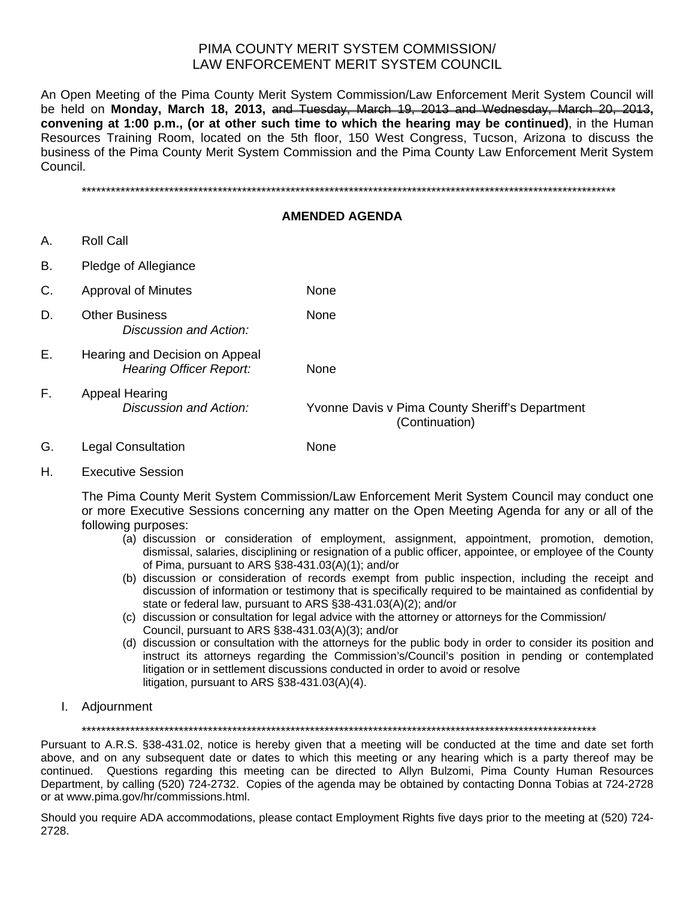# PIMA COUNTY MERIT SYSTEM COMMISSION/ LAW ENFORCEMENT MERIT SYSTEM COUNCIL

An Open Meeting of the Pima County Merit System Commission/Law Enforcement Merit System Council will be held on **Monday, March 18, 2013,** and Tuesday, March 19, 2013 and Wednesday, March 20, 2013**, convening at 1:00 p.m., (or at other such time to which the hearing may be continued)**, in the Human Resources Training Room, located on the 5th floor, 150 West Congress, Tucson, Arizona to discuss the business of the Pima County Merit System Commission and the Pima County Law Enforcement Merit System Council.

\*\*\*\*\*\*\*\*\*\*\*\*\*\*\*\*\*\*\*\*\*\*\*\*\*\*\*\*\*\*\*\*\*\*\*\*\*\*\*\*\*\*\*\*\*\*\*\*\*\*\*\*\*\*\*\*\*\*\*\*\*\*\*\*\*\*\*\*\*\*\*\*\*\*\*\*\*\*\*\*\*\*\*\*\*\*\*\*\*\*\*\*\*\*\*\*\*\*\*\*\*\*\*\*\*\*\*\*\*\*

#### **AMENDED AGENDA**

- A. Roll Call
- B. Pledge of Allegiance

| C. | <b>Approval of Minutes</b>                                       | None                                                              |
|----|------------------------------------------------------------------|-------------------------------------------------------------------|
| D. | <b>Other Business</b><br>Discussion and Action:                  | None                                                              |
| Е. | Hearing and Decision on Appeal<br><b>Hearing Officer Report:</b> | None                                                              |
| F. | Appeal Hearing<br>Discussion and Action:                         | Yvonne Davis v Pima County Sheriff's Department<br>(Continuation) |

- G. Legal Consultation None
- H. Executive Session

The Pima County Merit System Commission/Law Enforcement Merit System Council may conduct one or more Executive Sessions concerning any matter on the Open Meeting Agenda for any or all of the following purposes:

- (a) discussion or consideration of employment, assignment, appointment, promotion, demotion, dismissal, salaries, disciplining or resignation of a public officer, appointee, or employee of the County of Pima, pursuant to ARS §38-431.03(A)(1); and/or
- (b) discussion or consideration of records exempt from public inspection, including the receipt and discussion of information or testimony that is specifically required to be maintained as confidential by state or federal law, pursuant to ARS §38-431.03(A)(2); and/or
- (c) discussion or consultation for legal advice with the attorney or attorneys for the Commission/ Council, pursuant to ARS §38-431.03(A)(3); and/or
- (d) discussion or consultation with the attorneys for the public body in order to consider its position and instruct its attorneys regarding the Commission's/Council's position in pending or contemplated litigation or in settlement discussions conducted in order to avoid or resolve litigation, pursuant to ARS §38-431.03(A)(4).
- I. Adjournment

\*\*\*\*\*\*\*\*\*\*\*\*\*\*\*\*\*\*\*\*\*\*\*\*\*\*\*\*\*\*\*\*\*\*\*\*\*\*\*\*\*\*\*\*\*\*\*\*\*\*\*\*\*\*\*\*\*\*\*\*\*\*\*\*\*\*\*\*\*\*\*\*\*\*\*\*\*\*\*\*\*\*\*\*\*\*\*\*\*\*\*\*\*\*\*\*\*\*\*\*\*\*\*\*\*\*

Pursuant to A.R.S. §38-431.02, notice is hereby given that a meeting will be conducted at the time and date set forth above, and on any subsequent date or dates to which this meeting or any hearing which is a party thereof may be continued. Questions regarding this meeting can be directed to Allyn Bulzomi, Pima County Human Resources Department, by calling (520) 724-2732. Copies of the agenda may be obtained by contacting Donna Tobias at 724-2728 or at www.pima.gov/hr/commissions.html.

Should you require ADA accommodations, please contact Employment Rights five days prior to the meeting at (520) 724- 2728.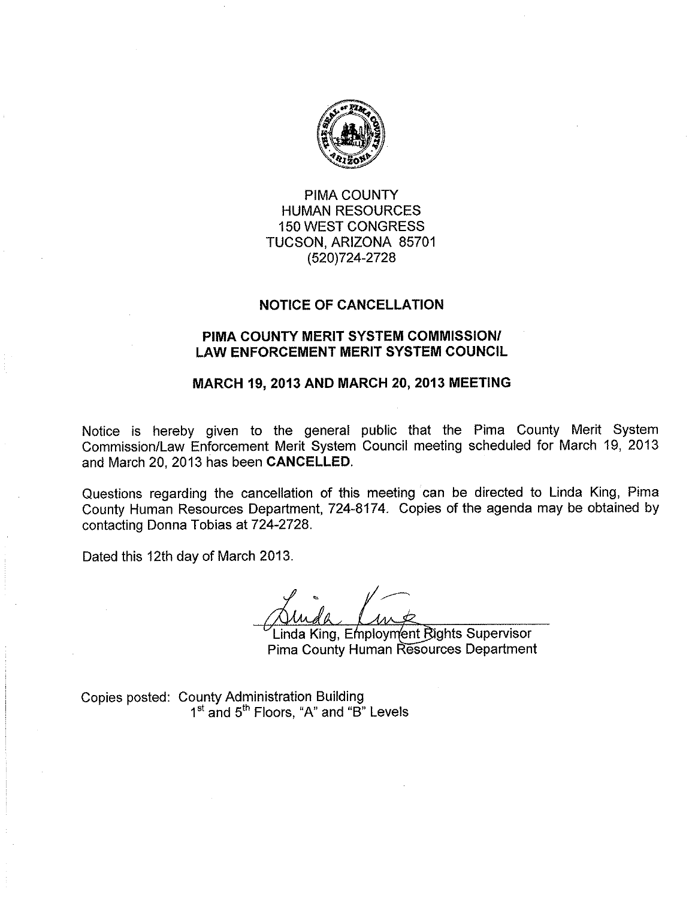

**PIMA COUNTY HUMAN RESOURCES 150 WEST CONGRESS** TUCSON, ARIZONA 85701 (520)724-2728

### **NOTICE OF CANCELLATION**

### PIMA COUNTY MERIT SYSTEM COMMISSION/ **LAW ENFORCEMENT MERIT SYSTEM COUNCIL**

### MARCH 19, 2013 AND MARCH 20, 2013 MEETING

Notice is hereby given to the general public that the Pima County Merit System Commission/Law Enforcement Merit System Council meeting scheduled for March 19, 2013 and March 20, 2013 has been CANCELLED.

Questions regarding the cancellation of this meeting can be directed to Linda King, Pima County Human Resources Department, 724-8174. Copies of the agenda may be obtained by contacting Donna Tobias at 724-2728.

Dated this 12th day of March 2013.

Linda King, Employment Rights Supervisor **Pima County Human Resources Department** 

Copies posted: County Administration Building<br>1<sup>st</sup> and 5<sup>th</sup> Floors, "A" and "B" Levels